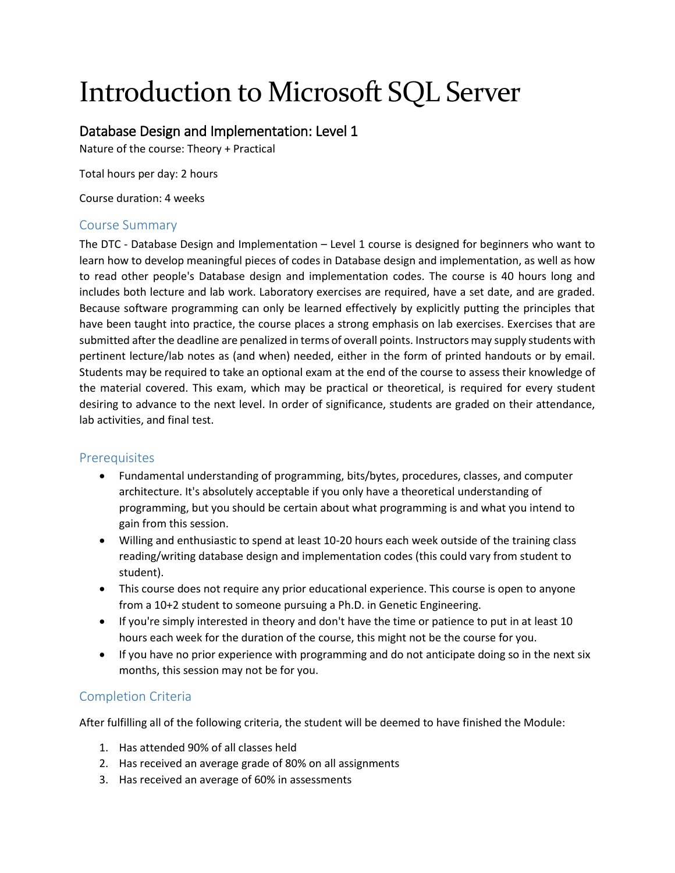# Introduction to Microsoft SQL Server

# Database Design and Implementation: Level 1

Nature of the course: Theory + Practical

Total hours per day: 2 hours

Course duration: 4 weeks

## Course Summary

The DTC - Database Design and Implementation – Level 1 course is designed for beginners who want to learn how to develop meaningful pieces of codes in Database design and implementation, as well as how to read other people's Database design and implementation codes. The course is 40 hours long and includes both lecture and lab work. Laboratory exercises are required, have a set date, and are graded. Because software programming can only be learned effectively by explicitly putting the principles that have been taught into practice, the course places a strong emphasis on lab exercises. Exercises that are submitted after the deadline are penalized in terms of overall points. Instructors may supply students with pertinent lecture/lab notes as (and when) needed, either in the form of printed handouts or by email. Students may be required to take an optional exam at the end of the course to assess their knowledge of the material covered. This exam, which may be practical or theoretical, is required for every student desiring to advance to the next level. In order of significance, students are graded on their attendance, lab activities, and final test.

## **Prerequisites**

- Fundamental understanding of programming, bits/bytes, procedures, classes, and computer architecture. It's absolutely acceptable if you only have a theoretical understanding of programming, but you should be certain about what programming is and what you intend to gain from this session.
- Willing and enthusiastic to spend at least 10-20 hours each week outside of the training class reading/writing database design and implementation codes (this could vary from student to student).
- This course does not require any prior educational experience. This course is open to anyone from a 10+2 student to someone pursuing a Ph.D. in Genetic Engineering.
- If you're simply interested in theory and don't have the time or patience to put in at least 10 hours each week for the duration of the course, this might not be the course for you.
- If you have no prior experience with programming and do not anticipate doing so in the next six months, this session may not be for you.

## Completion Criteria

After fulfilling all of the following criteria, the student will be deemed to have finished the Module:

- 1. Has attended 90% of all classes held
- 2. Has received an average grade of 80% on all assignments
- 3. Has received an average of 60% in assessments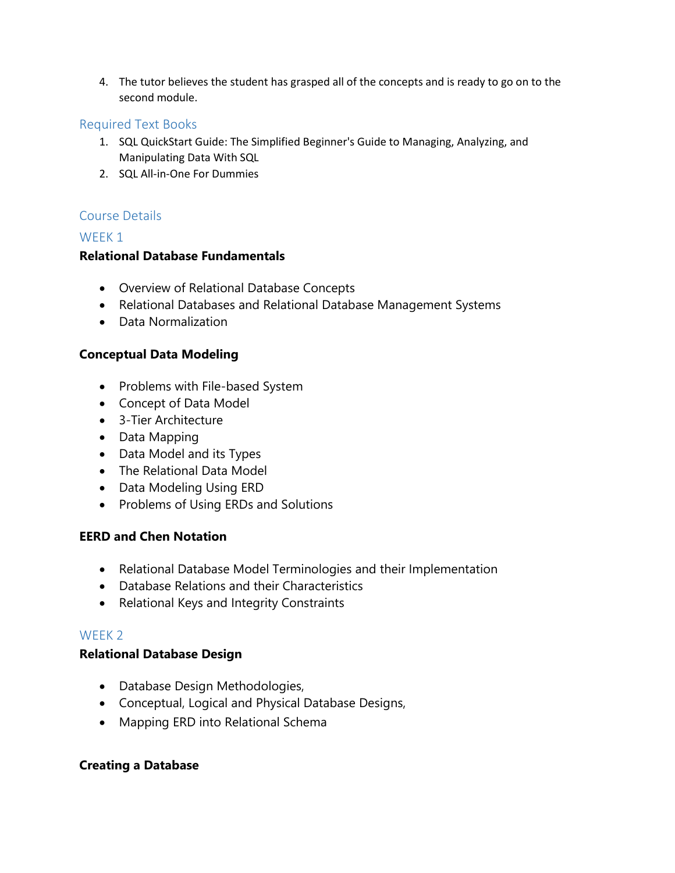4. The tutor believes the student has grasped all of the concepts and is ready to go on to the second module.

#### Required Text Books

- 1. SQL QuickStart Guide: The Simplified Beginner's Guide to Managing, Analyzing, and Manipulating Data With SQL
- 2. SQL All-in-One For Dummies

## Course Details

#### WFFK<sub>1</sub>

#### **Relational Database Fundamentals**

- Overview of Relational Database Concepts
- Relational Databases and Relational Database Management Systems
- Data Normalization

#### **Conceptual Data Modeling**

- Problems with File-based System
- Concept of Data Model
- 3-Tier Architecture
- Data Mapping
- Data Model and its Types
- The Relational Data Model
- Data Modeling Using ERD
- Problems of Using ERDs and Solutions

#### **EERD and Chen Notation**

- Relational Database Model Terminologies and their Implementation
- Database Relations and their Characteristics
- Relational Keys and Integrity Constraints

#### WEEK 2

#### **Relational Database Design**

- Database Design Methodologies,
- Conceptual, Logical and Physical Database Designs,
- Mapping ERD into Relational Schema

#### **Creating a Database**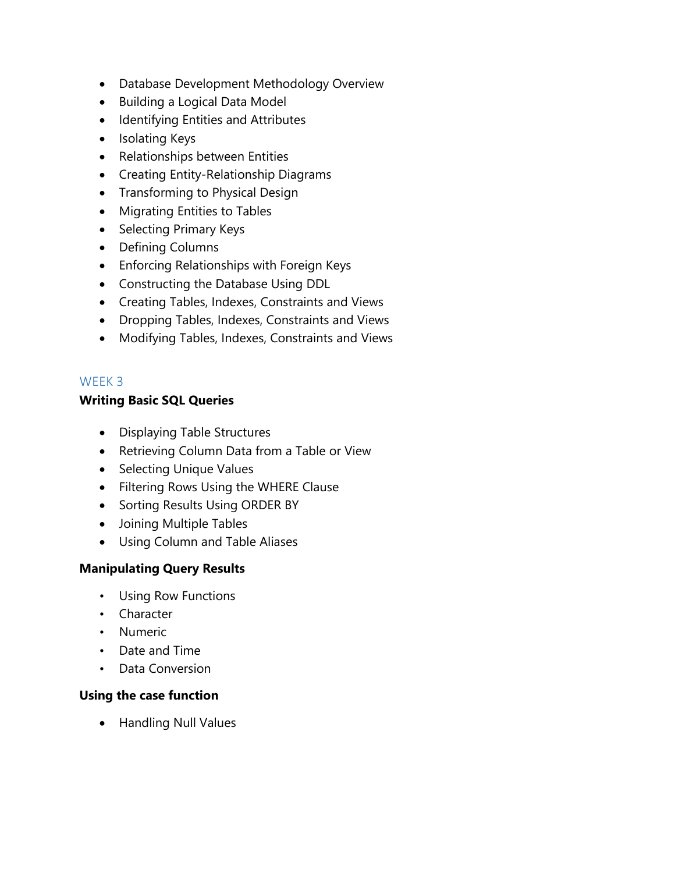- Database Development Methodology Overview
- Building a Logical Data Model
- Identifying Entities and Attributes
- Isolating Keys
- Relationships between Entities
- Creating Entity-Relationship Diagrams
- Transforming to Physical Design
- Migrating Entities to Tables
- Selecting Primary Keys
- Defining Columns
- Enforcing Relationships with Foreign Keys
- Constructing the Database Using DDL
- Creating Tables, Indexes, Constraints and Views
- Dropping Tables, Indexes, Constraints and Views
- Modifying Tables, Indexes, Constraints and Views

# WEEK 3

# **Writing Basic SQL Queries**

- Displaying Table Structures
- Retrieving Column Data from a Table or View
- Selecting Unique Values
- Filtering Rows Using the WHERE Clause
- Sorting Results Using ORDER BY
- Joining Multiple Tables
- Using Column and Table Aliases

# **Manipulating Query Results**

- Using Row Functions
- Character
- Numeric
- Date and Time
- Data Conversion

# **Using the case function**

• Handling Null Values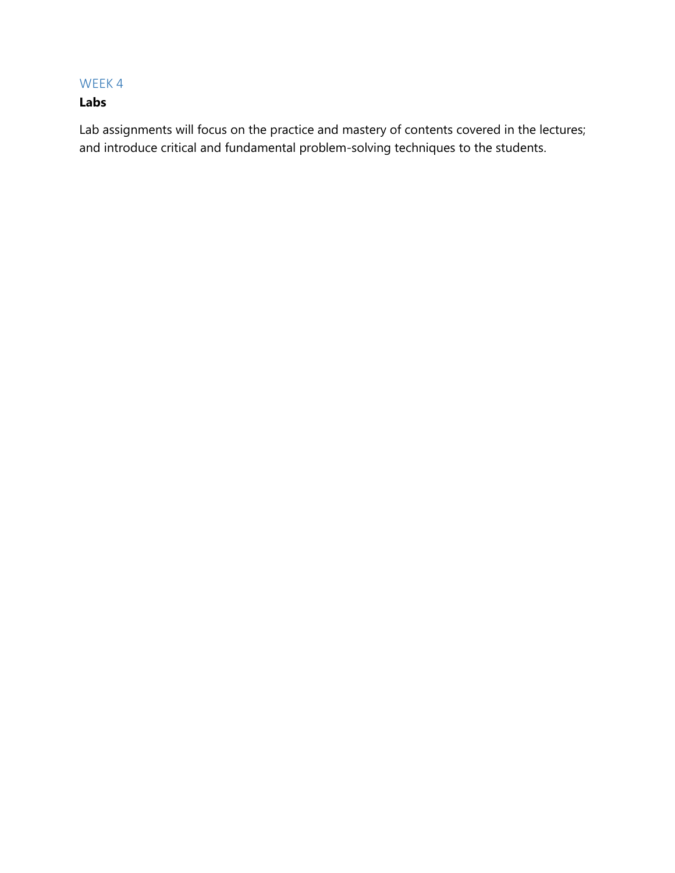# WEEK 4

# **Labs**

Lab assignments will focus on the practice and mastery of contents covered in the lectures; and introduce critical and fundamental problem-solving techniques to the students.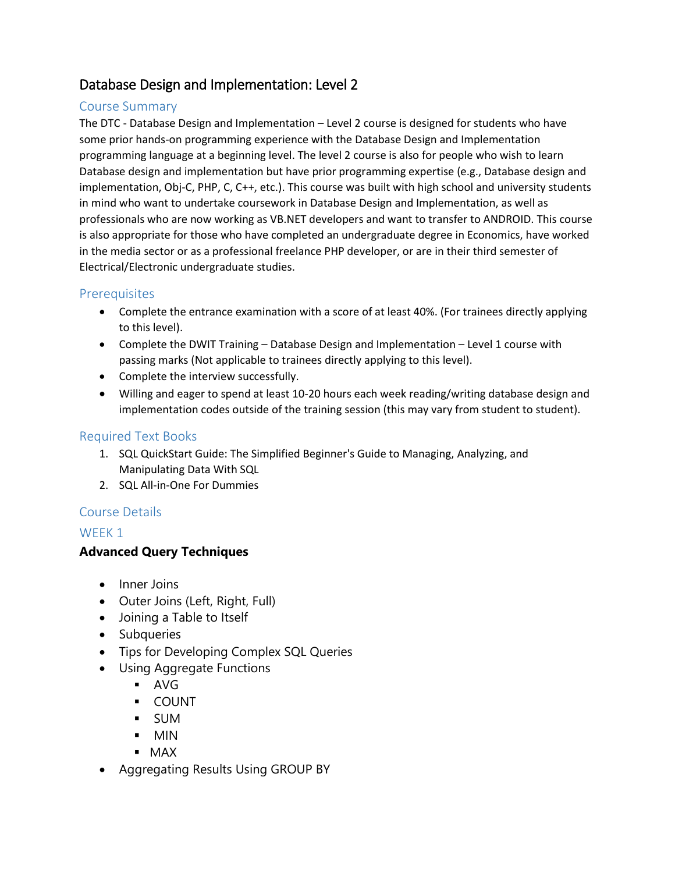# Database Design and Implementation: Level 2

## Course Summary

The DTC - Database Design and Implementation – Level 2 course is designed for students who have some prior hands-on programming experience with the Database Design and Implementation programming language at a beginning level. The level 2 course is also for people who wish to learn Database design and implementation but have prior programming expertise (e.g., Database design and implementation, Obj-C, PHP, C, C++, etc.). This course was built with high school and university students in mind who want to undertake coursework in Database Design and Implementation, as well as professionals who are now working as VB.NET developers and want to transfer to ANDROID. This course is also appropriate for those who have completed an undergraduate degree in Economics, have worked in the media sector or as a professional freelance PHP developer, or are in their third semester of Electrical/Electronic undergraduate studies.

## **Prerequisites**

- Complete the entrance examination with a score of at least 40%. (For trainees directly applying to this level).
- Complete the DWIT Training Database Design and Implementation Level 1 course with passing marks (Not applicable to trainees directly applying to this level).
- Complete the interview successfully.
- Willing and eager to spend at least 10-20 hours each week reading/writing database design and implementation codes outside of the training session (this may vary from student to student).

## Required Text Books

- 1. SQL QuickStart Guide: The Simplified Beginner's Guide to Managing, Analyzing, and Manipulating Data With SQL
- 2. SQL All-in-One For Dummies

## Course Details

## WFFK<sub>1</sub>

# **Advanced Query Techniques**

- Inner Joins
- Outer Joins (Left, Right, Full)
- Joining a Table to Itself
- Subqueries
- Tips for Developing Complex SQL Queries
- Using Aggregate Functions
	- AVG
	- COUNT
	- SUM
	- MIN
	- MAX
- Aggregating Results Using GROUP BY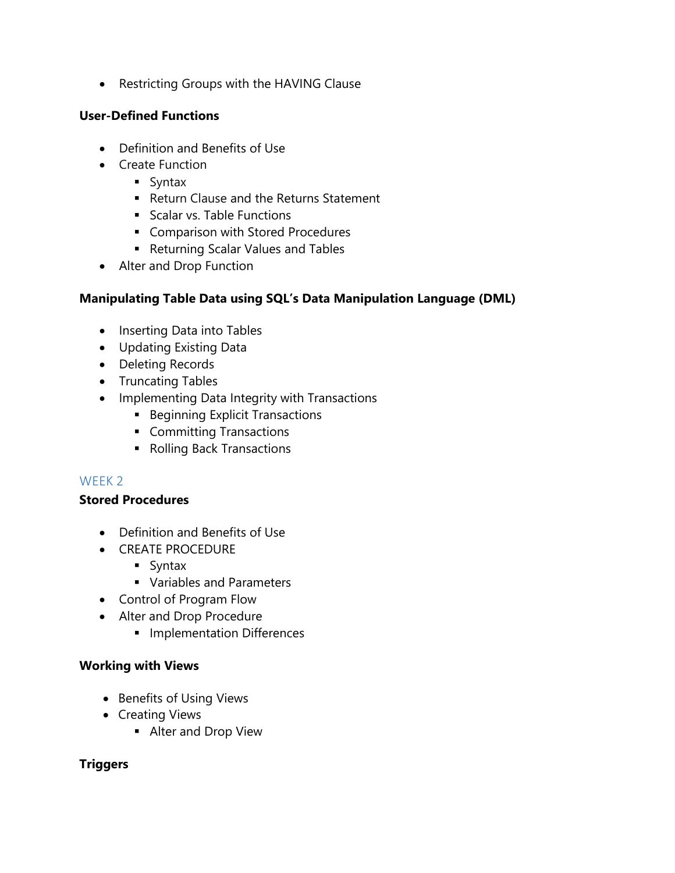Restricting Groups with the HAVING Clause

## **User-Defined Functions**

- Definition and Benefits of Use
- Create Function
	- **Syntax**
	- **Return Clause and the Returns Statement**
	- Scalar vs. Table Functions
	- **Comparison with Stored Procedures**
	- Returning Scalar Values and Tables
- Alter and Drop Function

## **Manipulating Table Data using SQL's Data Manipulation Language (DML)**

- Inserting Data into Tables
- Updating Existing Data
- Deleting Records
- Truncating Tables
- Implementing Data Integrity with Transactions
	- **Beginning Explicit Transactions**
	- **Committing Transactions**
	- Rolling Back Transactions

# WEEK 2

## **Stored Procedures**

- Definition and Benefits of Use
- **CREATE PROCEDURE** 
	- Syntax
	- **Variables and Parameters**
- Control of Program Flow
- Alter and Drop Procedure
	- **Implementation Differences**

## **Working with Views**

- Benefits of Using Views
- Creating Views
	- **Alter and Drop View**

## **Triggers**